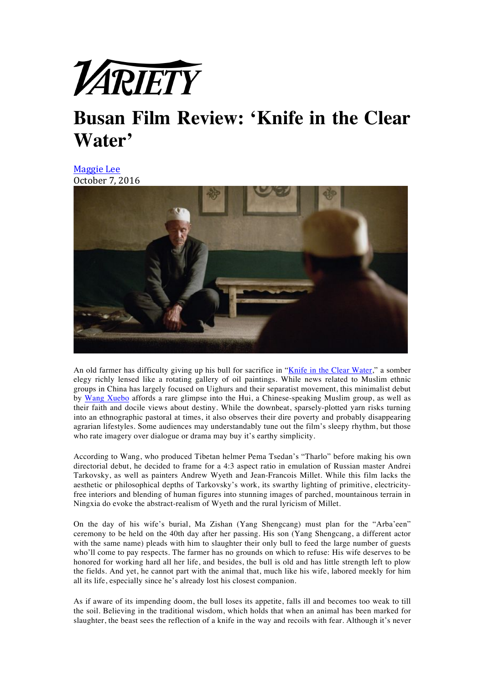

## **Busan Film Review: 'Knife in the Clear Water'**

**Maggie** Lee October 7, 2016



An old farmer has difficulty giving up his bull for sacrifice in "Knife in the Clear Water," a somber elegy richly lensed like a rotating gallery of oil paintings. While news related to Muslim ethnic groups in China has largely focused on Uighurs and their separatist movement, this minimalist debut by Wang Xuebo affords a rare glimpse into the Hui, a Chinese-speaking Muslim group, as well as their faith and docile views about destiny. While the downbeat, sparsely-plotted yarn risks turning into an ethnographic pastoral at times, it also observes their dire poverty and probably disappearing agrarian lifestyles. Some audiences may understandably tune out the film's sleepy rhythm, but those who rate imagery over dialogue or drama may buy it's earthy simplicity.

According to Wang, who produced Tibetan helmer Pema Tsedan's "Tharlo" before making his own directorial debut, he decided to frame for a 4:3 aspect ratio in emulation of Russian master Andrei Tarkovsky, as well as painters Andrew Wyeth and Jean-Francois Millet. While this film lacks the aesthetic or philosophical depths of Tarkovsky's work, its swarthy lighting of primitive, electricityfree interiors and blending of human figures into stunning images of parched, mountainous terrain in Ningxia do evoke the abstract-realism of Wyeth and the rural lyricism of Millet.

On the day of his wife's burial, Ma Zishan (Yang Shengcang) must plan for the "Arba'een" ceremony to be held on the 40th day after her passing. His son (Yang Shengcang, a different actor with the same name) pleads with him to slaughter their only bull to feed the large number of guests who'll come to pay respects. The farmer has no grounds on which to refuse: His wife deserves to be honored for working hard all her life, and besides, the bull is old and has little strength left to plow the fields. And yet, he cannot part with the animal that, much like his wife, labored meekly for him all its life, especially since he's already lost his closest companion.

As if aware of its impending doom, the bull loses its appetite, falls ill and becomes too weak to till the soil. Believing in the traditional wisdom, which holds that when an animal has been marked for slaughter, the beast sees the reflection of a knife in the way and recoils with fear. Although it's never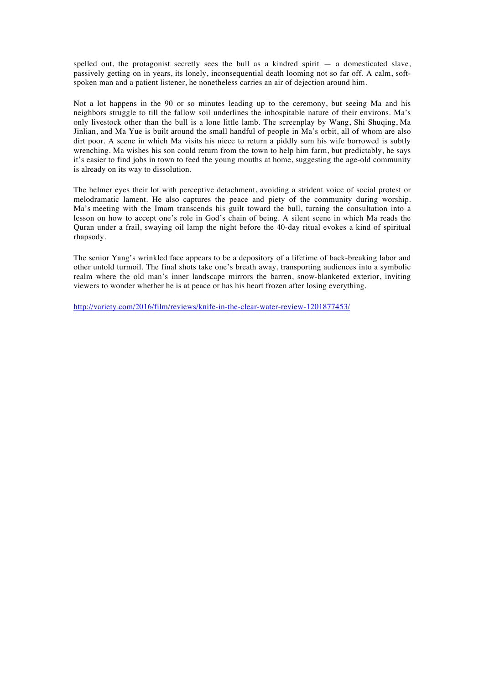spelled out, the protagonist secretly sees the bull as a kindred spirit  $-$  a domesticated slave, passively getting on in years, its lonely, inconsequential death looming not so far off. A calm, softspoken man and a patient listener, he nonetheless carries an air of dejection around him.

Not a lot happens in the 90 or so minutes leading up to the ceremony, but seeing Ma and his neighbors struggle to till the fallow soil underlines the inhospitable nature of their environs. Ma's only livestock other than the bull is a lone little lamb. The screenplay by Wang, Shi Shuqing, Ma Jinlian, and Ma Yue is built around the small handful of people in Ma's orbit, all of whom are also dirt poor. A scene in which Ma visits his niece to return a piddly sum his wife borrowed is subtly wrenching. Ma wishes his son could return from the town to help him farm, but predictably, he says it's easier to find jobs in town to feed the young mouths at home, suggesting the age-old community is already on its way to dissolution.

The helmer eyes their lot with perceptive detachment, avoiding a strident voice of social protest or melodramatic lament. He also captures the peace and piety of the community during worship. Ma's meeting with the Imam transcends his guilt toward the bull, turning the consultation into a lesson on how to accept one's role in God's chain of being. A silent scene in which Ma reads the Quran under a frail, swaying oil lamp the night before the 40-day ritual evokes a kind of spiritual rhapsody.

The senior Yang's wrinkled face appears to be a depository of a lifetime of back-breaking labor and other untold turmoil. The final shots take one's breath away, transporting audiences into a symbolic realm where the old man's inner landscape mirrors the barren, snow-blanketed exterior, inviting viewers to wonder whether he is at peace or has his heart frozen after losing everything.

http://variety.com/2016/film/reviews/knife-in-the-clear-water-review-1201877453/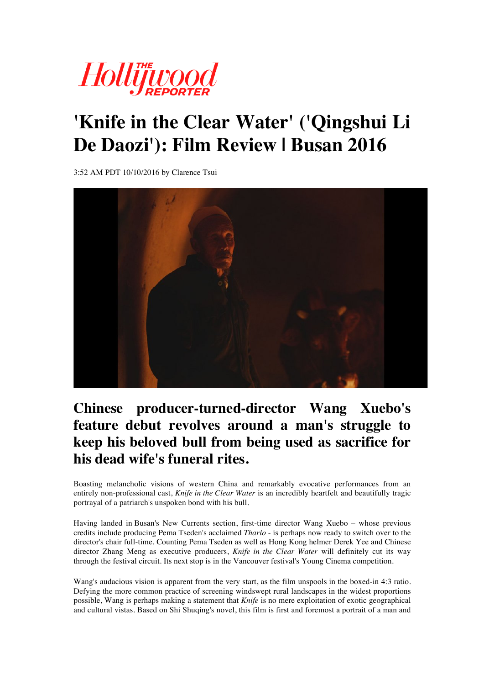

## **'Knife in the Clear Water' ('Qingshui Li De Daozi'): Film Review | Busan 2016**

3:52 AM PDT 10/10/2016 by Clarence Tsui



## **Chinese producer-turned-director Wang Xuebo's feature debut revolves around a man's struggle to keep his beloved bull from being used as sacrifice for his dead wife's funeral rites.**

Boasting melancholic visions of western China and remarkably evocative performances from an entirely non-professional cast, *Knife in the Clear Water* is an incredibly heartfelt and beautifully tragic portrayal of a patriarch's unspoken bond with his bull.

Having landed in Busan's New Currents section, first-time director Wang Xuebo – whose previous credits include producing Pema Tseden's acclaimed *Tharlo* - is perhaps now ready to switch over to the director's chair full-time. Counting Pema Tseden as well as Hong Kong helmer Derek Yee and Chinese director Zhang Meng as executive producers, *Knife in the Clear Water* will definitely cut its way through the festival circuit. Its next stop is in the Vancouver festival's Young Cinema competition.

Wang's audacious vision is apparent from the very start, as the film unspools in the boxed-in 4:3 ratio. Defying the more common practice of screening windswept rural landscapes in the widest proportions possible, Wang is perhaps making a statement that *Knife* is no mere exploitation of exotic geographical and cultural vistas. Based on Shi Shuqing's novel, this film is first and foremost a portrait of a man and